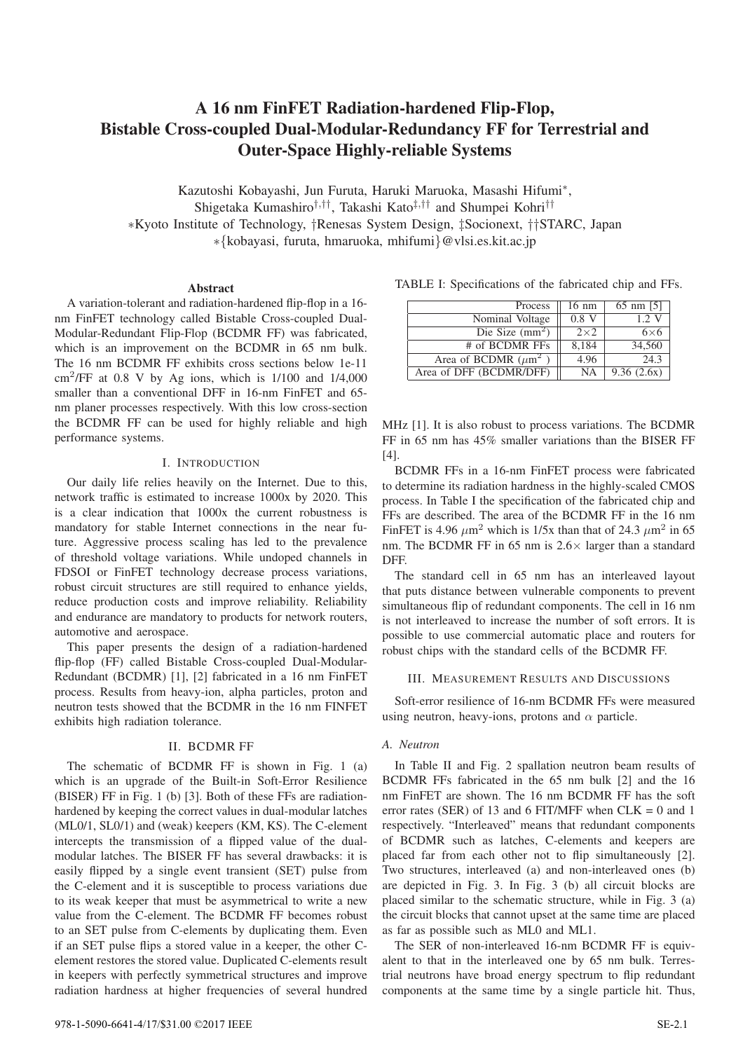# **A 16 nm FinFET Radiation-hardened Flip-Flop, Bistable Cross-coupled Dual-Modular-Redundancy FF for Terrestrial and Outer-Space Highly-reliable Systems**

Kazutoshi Kobayashi, Jun Furuta, Haruki Maruoka, Masashi Hifumi∗,

Shigetaka Kumashiro†,††, Takashi Kato‡,†† and Shumpei Kohri††

∗Kyoto Institute of Technology, †Renesas System Design, ‡Socionext, ††STARC, Japan

∗{kobayasi, furuta, hmaruoka, mhifumi}@vlsi.es.kit.ac.jp

### **Abstract**

A variation-tolerant and radiation-hardened flip-flop in a 16 nm FinFET technology called Bistable Cross-coupled Dual-Modular-Redundant Flip-Flop (BCDMR FF) was fabricated, which is an improvement on the BCDMR in 65 nm bulk. The 16 nm BCDMR FF exhibits cross sections below 1e-11  $cm<sup>2</sup>/FF$  at 0.8 V by Ag ions, which is  $1/100$  and  $1/4,000$ smaller than a conventional DFF in 16-nm FinFET and 65 nm planer processes respectively. With this low cross-section the BCDMR FF can be used for highly reliable and high performance systems.

### I. INTRODUCTION

Our daily life relies heavily on the Internet. Due to this, network traffic is estimated to increase 1000x by 2020. This is a clear indication that 1000x the current robustness is mandatory for stable Internet connections in the near future. Aggressive process scaling has led to the prevalence of threshold voltage variations. While undoped channels in FDSOI or FinFET technology decrease process variations, robust circuit structures are still required to enhance yields, reduce production costs and improve reliability. Reliability and endurance are mandatory to products for network routers, automotive and aerospace.

This paper presents the design of a radiation-hardened flip-flop (FF) called Bistable Cross-coupled Dual-Modular-Redundant (BCDMR) [1], [2] fabricated in a 16 nm FinFET process. Results from heavy-ion, alpha particles, proton and neutron tests showed that the BCDMR in the 16 nm FINFET exhibits high radiation tolerance.

### II. BCDMR FF

The schematic of BCDMR FF is shown in Fig. 1 (a) which is an upgrade of the Built-in Soft-Error Resilience (BISER) FF in Fig. 1 (b) [3]. Both of these FFs are radiationhardened by keeping the correct values in dual-modular latches (ML0/1, SL0/1) and (weak) keepers (KM, KS). The C-element intercepts the transmission of a flipped value of the dualmodular latches. The BISER FF has several drawbacks: it is easily flipped by a single event transient (SET) pulse from the C-element and it is susceptible to process variations due to its weak keeper that must be asymmetrical to write a new value from the C-element. The BCDMR FF becomes robust to an SET pulse from C-elements by duplicating them. Even if an SET pulse flips a stored value in a keeper, the other Celement restores the stored value. Duplicated C-elements result in keepers with perfectly symmetrical structures and improve radiation hardness at higher frequencies of several hundred

Area of DFF (BCDMR/DFF)  $\parallel$  NA  $\parallel$  9.36 (2.6x)

MHz [1]. It is also robust to process variations. The BCDMR FF in 65 nm has 45% smaller variations than the BISER FF [4].

TABLE I: Specifications of the fabricated chip and FFs.

Area of BCDMR  $(\mu \text{m}^2)$  4.96 24.3

# of BCDMR FFs

Process  $\parallel$  16 nm  $\parallel$  65 nm [5]

Nominal Voltage | 0.8 V 1.2 V Die Size (mm<sup>2</sup>)  $2 \times 2$  6×6<br>of BCDMR FFs 8,184 34,560

BCDMR FFs in a 16-nm FinFET process were fabricated to determine its radiation hardness in the highly-scaled CMOS process. In Table I the specification of the fabricated chip and FFs are described. The area of the BCDMR FF in the 16 nm FinFET is 4.96  $\mu$ m<sup>2</sup> which is 1/5x than that of 24.3  $\mu$ m<sup>2</sup> in 65 nm. The BCDMR FF in 65 nm is  $2.6 \times$  larger than a standard DFF.

The standard cell in 65 nm has an interleaved layout that puts distance between vulnerable components to prevent simultaneous flip of redundant components. The cell in 16 nm is not interleaved to increase the number of soft errors. It is possible to use commercial automatic place and routers for robust chips with the standard cells of the BCDMR FF.

# III. MEASUREMENT RESULTS AND DISCUSSIONS

Soft-error resilience of 16-nm BCDMR FFs were measured using neutron, heavy-ions, protons and  $\alpha$  particle.

### *A. Neutron*

In Table II and Fig. 2 spallation neutron beam results of BCDMR FFs fabricated in the 65 nm bulk [2] and the 16 nm FinFET are shown. The 16 nm BCDMR FF has the soft error rates (SER) of 13 and 6 FIT/MFF when  $CLK = 0$  and 1 respectively. "Interleaved" means that redundant components of BCDMR such as latches, C-elements and keepers are placed far from each other not to flip simultaneously [2]. Two structures, interleaved (a) and non-interleaved ones (b) are depicted in Fig. 3. In Fig. 3 (b) all circuit blocks are placed similar to the schematic structure, while in Fig. 3 (a) the circuit blocks that cannot upset at the same time are placed as far as possible such as ML0 and ML1.

The SER of non-interleaved 16-nm BCDMR FF is equivalent to that in the interleaved one by 65 nm bulk. Terrestrial neutrons have broad energy spectrum to flip redundant components at the same time by a single particle hit. Thus,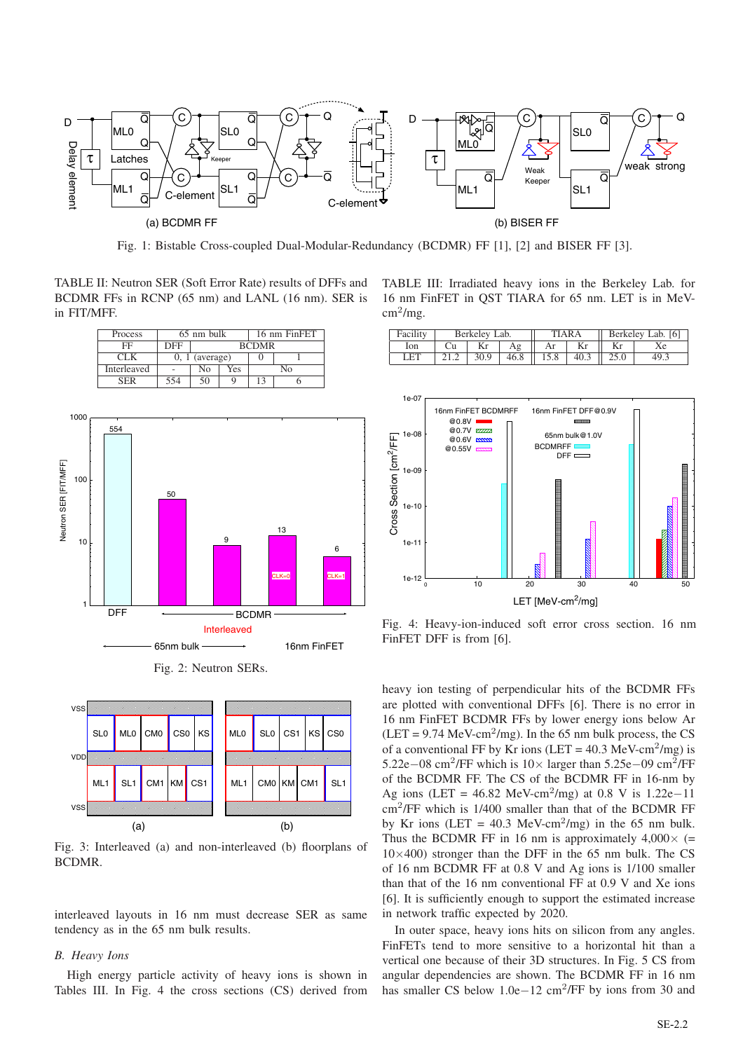

Fig. 1: Bistable Cross-coupled Dual-Modular-Redundancy (BCDMR) FF [1], [2] and BISER FF [3].

TABLE II: Neutron SER (Soft Error Rate) results of DFFs and BCDMR FFs in RCNP (65 nm) and LANL (16 nm). SER is in FIT/MFF.



Fig. 2: Neutron SERs.



Fig. 3: Interleaved (a) and non-interleaved (b) floorplans of BCDMR.

interleaved layouts in 16 nm must decrease SER as same tendency as in the 65 nm bulk results.

#### *B. Heavy Ions*

High energy particle activity of heavy ions is shown in Tables III. In Fig. 4 the cross sections (CS) derived from

TABLE III: Irradiated heavy ions in the Berkeley Lab. for 16 nm FinFET in QST TIARA for 65 nm. LET is in MeV $cm<sup>2</sup>/mg$ .

| Facility   | Berkelev Lab. |      |  | <b>TIARA</b>  |      | Berkelev Lab. [6] |      |
|------------|---------------|------|--|---------------|------|-------------------|------|
| lon        |               |      |  |               | Kr   |                   |      |
| <b>LET</b> |               | 30.9 |  | $46.8$   15.8 | 40.3 | 25.0              | 49.3 |



Fig. 4: Heavy-ion-induced soft error cross section. 16 nm FinFET DFF is from [6].

heavy ion testing of perpendicular hits of the BCDMR FFs are plotted with conventional DFFs [6]. There is no error in 16 nm FinFET BCDMR FFs by lower energy ions below Ar  $(LET = 9.74 \text{ MeV-cm}^2/\text{mg})$ . In the 65 nm bulk process, the CS of a conventional FF by Kr ions (LET =  $40.3 \text{ MeV-cm}^2/\text{mg}$ ) is 5.22e−08 cm<sup>2</sup>/FF which is  $10\times$  larger than 5.25e−09 cm<sup>2</sup>/FF of the BCDMR FF. The CS of the BCDMR FF in 16-nm by Ag ions (LET =  $46.82$  MeV-cm<sup>2</sup>/mg) at 0.8 V is 1.22e-11 cm<sup>2</sup>/FF which is 1/400 smaller than that of the BCDMR FF by Kr ions (LET =  $40.3$  MeV-cm<sup>2</sup>/mg) in the 65 nm bulk. Thus the BCDMR FF in 16 nm is approximately  $4,000 \times (=$  $10\times400$ ) stronger than the DFF in the 65 nm bulk. The CS of 16 nm BCDMR FF at 0.8 V and Ag ions is 1/100 smaller than that of the 16 nm conventional FF at 0.9 V and Xe ions [6]. It is sufficiently enough to support the estimated increase in network traffic expected by 2020.

In outer space, heavy ions hits on silicon from any angles. FinFETs tend to more sensitive to a horizontal hit than a vertical one because of their 3D structures. In Fig. 5 CS from angular dependencies are shown. The BCDMR FF in 16 nm has smaller CS below 1.0e−12 cm<sup>2</sup>/FF by ions from 30 and